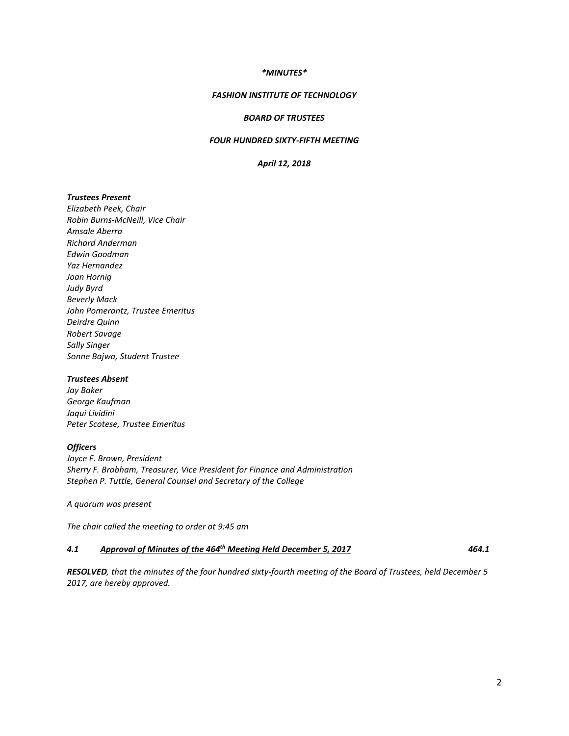# *\*MINUTES\**

### *FASHION INSTITUTE OF TECHNOLOGY*

# *BOARD OF TRUSTEES*

# *FOUR HUNDRED SIXTY-FIFTH MEETING*

#### *April 12, 2018*

# *Trustees Present*

*Elizabeth Peek, Chair Robin Burns-McNeill, Vice Chair Amsale Aberra Richard Anderman Edwin Goodman Yaz Hernandez Joan Hornig Judy Byrd Beverly Mack John Pomerantz, Trustee Emeritus Deirdre Quinn Robert Savage Sally Singer Sonne Bajwa, Student Trustee*

## *Trustees Absent*

*Jay Baker George Kaufman Jaqui Lividini Peter Scotese, Trustee Emeritus*

#### *Officers*

*Joyce F. Brown, President Sherry F. Brabham, Treasurer, Vice President for Finance and Administration Stephen P. Tuttle, General Counsel and Secretary of the College*

*A quorum was present*

*The chair called the meeting to order at 9:45 am*

#### *4.1 Approval of Minutes of the 464th Meeting Held December 5, 2017 464.1*

*RESOLVED, that the minutes of the four hundred sixty-fourth meeting of the Board of Trustees, held December 5 2017, are hereby approved.*